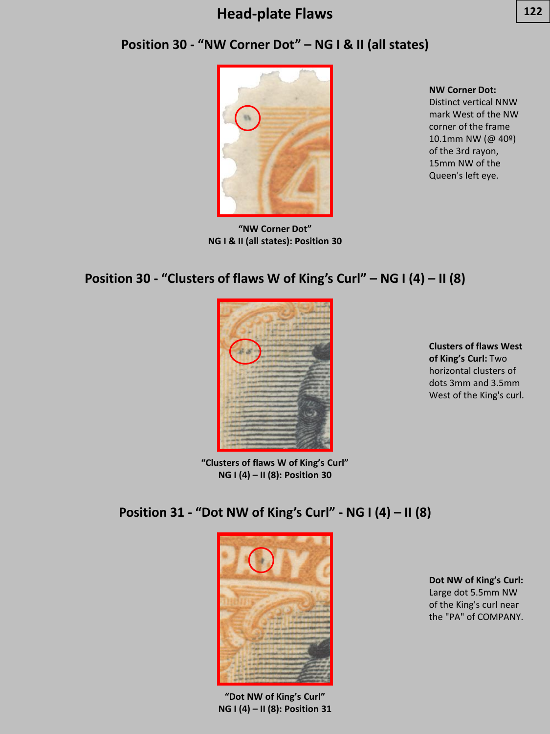#### **Position 30 - "NW Corner Dot" – NG I & II (all states)**



**"NW Corner Dot" NG I & II (all states): Position 30**

**NW Corner Dot:**  Distinct vertical NNW mark West of the NW corner of the frame 10.1mm NW (@ 40º) of the 3rd rayon, 15mm NW of the

Queen's left eye.

#### **Position 30 - "Clusters of flaws W of King's Curl" – NG I (4) – II (8)**



**Clusters of flaws West of King's Curl:** Two horizontal clusters of dots 3mm and 3.5mm West of the King's curl.

**"Clusters of flaws W of King's Curl" NG I (4) – II (8): Position 30**

# **Position 31 - "Dot NW of King's Curl" - NG I (4) – II (8)**



**"Dot NW of King's Curl" NG I (4) – II (8): Position 31**

**Dot NW of King's Curl:**  Large dot 5.5mm NW of the King's curl near the "PA" of COMPANY.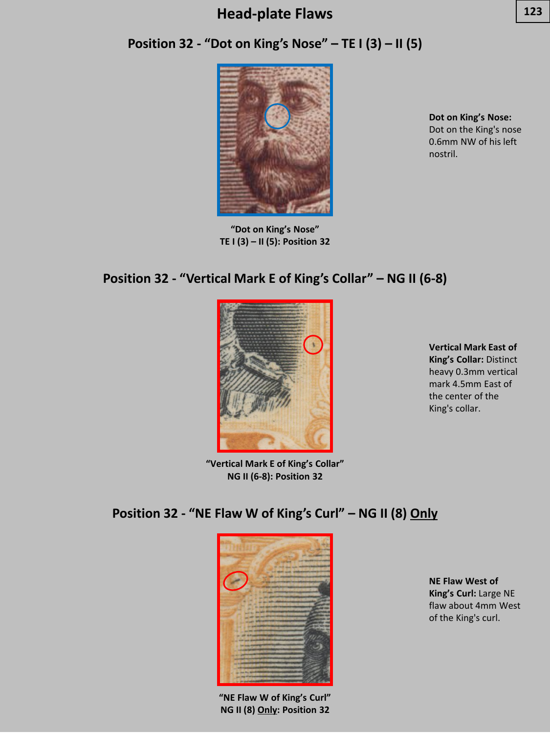## **Position 32 - "Dot on King's Nose" – TE I (3) – II (5)**



**"Dot on King's Nose" TE I (3) – II (5): Position 32**

**Dot on King's Nose:**  Dot on the King's nose 0.6mm NW of his left nostril.

#### **Position 32 - "Vertical Mark E of King's Collar" – NG II (6-8)**



**Vertical Mark East of King's Collar:** Distinct heavy 0.3mm vertical mark 4.5mm East of the center of the King's collar.

**"Vertical Mark E of King's Collar" NG II (6-8): Position 32**

#### **Position 32 - "NE Flaw W of King's Curl" – NG II (8) Only**



**"NE Flaw W of King's Curl" NG II (8) Only: Position 32**

**NE Flaw West of King's Curl:** Large NE flaw about 4mm West of the King's curl.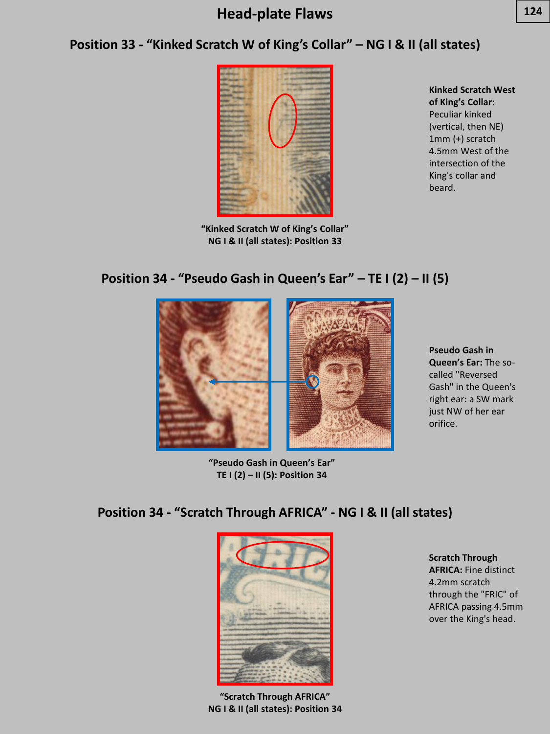## **Position 33 - "Kinked Scratch W of King's Collar" – NG I & II (all states)**



**"Kinked Scratch W of King's Collar" NG I & II (all states): Position 33**

**Kinked Scratch West of King's Collar:**  Peculiar kinked (vertical, then NE) 1mm (+) scratch 4.5mm West of the intersection of the King's collar and beard.

#### **Position 34 - "Pseudo Gash in Queen's Ear" – TE I (2) – II (5)**



**Pseudo Gash in Queen's Ear:** The socalled "Reversed Gash" in the Queen's right ear: a SW mark just NW of her ear orifice.

**"Pseudo Gash in Queen's Ear" TE I (2) – II (5): Position 34**

# **Position 34 - "Scratch Through AFRICA" - NG I & II (all states)**



**"Scratch Through AFRICA" NG I & II (all states): Position 34**

**Scratch Through AFRICA:** Fine distinct 4.2mm scratch through the "FRIC" of AFRICA passing 4.5mm over the King's head.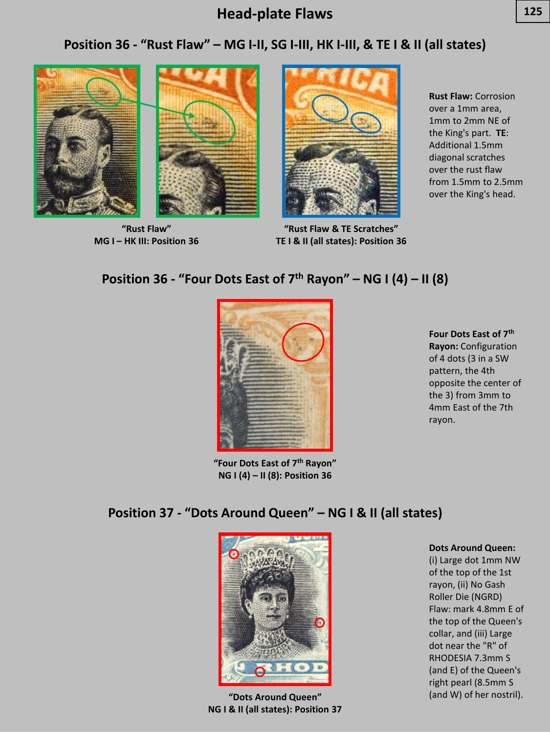#### **Position 36 - "Rust Flaw" – MG I-II, SG I-III, HK I-III, & TE I & II (all states)**





**"Rust Flaw" MG I – HK III: Position 36**



**"Rust Flaw & TE Scratches" TE I & II (all states): Position 36**

**Rust Flaw:** Corrosion over a 1mm area, 1mm to 2mm NE of the King's part. **TE**: Additional 1.5mm diagonal scratches over the rust flaw from 1.5mm to 2.5mm over the King's head.

#### **Position 36 - "Four Dots East of 7th Rayon" – NG I (4) – II (8)**



**"Four Dots East of 7th Rayon" NG I (4) – II (8): Position 36**

**Four Dots East of 7th Rayon:** Configuration of 4 dots (3 in a SW pattern, the 4th opposite the center of the 3) from 3mm to 4mm East of the 7th rayon.

#### **Position 37 - "Dots Around Queen" – NG I & II (all states)**



**NG I & II (all states): Position 37**

**Dots Around Queen:** 

(i) Large dot 1mm NW of the top of the 1st rayon, (ii) No Gash Roller Die (NGRD) Flaw: mark 4.8mm E of the top of the Queen's collar, and (iii) Large dot near the "R" of RHODESIA 7.3mm S (and E) of the Queen's right pearl (8.5mm S (and W) of her nostril). **"Dots Around Queen"**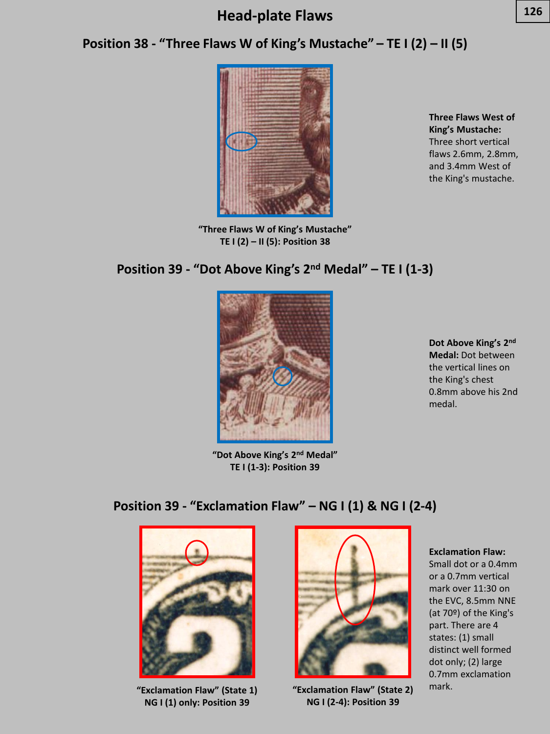#### **Position 38 - "Three Flaws W of King's Mustache" – TE I (2) – II (5)**



**"Three Flaws W of King's Mustache" TE I (2) – II (5): Position 38**

**Three Flaws West of King's Mustache:**  Three short vertical flaws 2.6mm, 2.8mm, and 3.4mm West of the King's mustache.

#### **Position 39 - "Dot Above King's 2nd Medal" – TE I (1-3)**



**Dot Above King's 2nd Medal:** Dot between the vertical lines on the King's chest 0.8mm above his 2nd medal.

**"Dot Above King's 2nd Medal" TE I (1-3): Position 39**

#### **Position 39 - "Exclamation Flaw" – NG I (1) & NG I (2-4)**



mark. **"Exclamation Flaw" (State 1) "Exclamation Flaw" (State 2) NG I (1) only: Position 39**



**NG I (2-4): Position 39**

#### **Exclamation Flaw:**

Small dot or a 0.4mm or a 0.7mm vertical mark over 11:30 on the EVC, 8.5mm NNE (at 70º) of the King's part. There are 4 states: (1) small distinct well formed dot only; (2) large 0.7mm exclamation